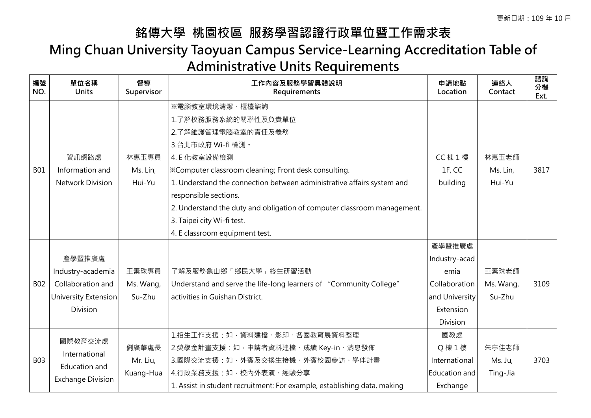## **銘傳大學 桃園校區 服務學習認證行政單位暨工作需求表 Ming Chuan University Taoyuan Campus Service-Learning Accreditation Table of Administrative Units Requirements**

| 編號<br>NO.  | 單位名稱<br><b>Units</b>                                                                               | 督導<br>Supervisor               | 工作內容及服務學習具體說明<br>Requirements                                                                                                                                                                                                                                                                                                                                                                                  | 申請地點<br>Location                                                                            | 連絡人<br>Contact               | 諮詢<br>分機<br>Ext. |
|------------|----------------------------------------------------------------------------------------------------|--------------------------------|----------------------------------------------------------------------------------------------------------------------------------------------------------------------------------------------------------------------------------------------------------------------------------------------------------------------------------------------------------------------------------------------------------------|---------------------------------------------------------------------------------------------|------------------------------|------------------|
| <b>B01</b> | 資訊網路處<br>Information and<br><b>Network Division</b>                                                | 林惠玉專員<br>Ms. Lin,<br>Hui-Yu    | ※電腦教室環境清潔、櫃檯諮詢<br>1.了解校務服務系統的關聯性及負責單位<br>2.了解維護管理電腦教室的責任及義務<br>3.台北市政府 Wi-fi 檢測。<br>4. E 化教室設備檢測<br><b>X</b> Computer classroom cleaning; Front desk consulting.<br>1. Understand the connection between administrative affairs system and<br>responsible sections.<br>2. Understand the duty and obligation of computer classroom management.<br>3. Taipei city Wi-fi test.<br>4. E classroom equipment test. | <b>CC</b> 棟 1 樓<br>1F, CC<br>building                                                       | 林惠玉老師<br>Ms. Lin,<br>Hui-Yu  | 3817             |
| <b>B02</b> | 產學暨推廣處<br>Industry-academia<br>Collaboration and<br><b>University Extension</b><br><b>Division</b> | 王素珠專員<br>Ms. Wang,<br>Su-Zhu   | 了解及服務龜山鄉「鄉民大學」終生研習活動<br>Understand and serve the life-long learners of "Community College"<br>activities in Guishan District.                                                                                                                                                                                                                                                                                  | 產學暨推廣處<br>Industry-acad<br>emia<br>Collaboration<br>and University<br>Extension<br>Division | 王素珠老師<br>Ms. Wang,<br>Su-Zhu | 3109             |
| <b>B03</b> | 國際教育交流處<br>International<br>Education and<br><b>Exchange Division</b>                              | 劉廣華處長<br>Mr. Liu,<br>Kuang-Hua | 1.招生工作支援:如,資料建檔、影印、各國教育展資料整理<br>2.獎學金計畫支援:如,申請者資料建檔、成績 Key-in、消息發佈<br>3.國際交流支援:如,外賓及交換生接機、外賓校園參訪、學伴計畫<br>4.行政業務支援:如,校內外表演、經驗分享<br>1. Assist in student recruitment: For example, establishing data, making                                                                                                                                                                                                     | 國教處<br>Q 棟 1 樓<br>International<br>Education and<br>Exchange                                | 朱亭佳老師<br>Ms. Ju,<br>Ting-Jia | 3703             |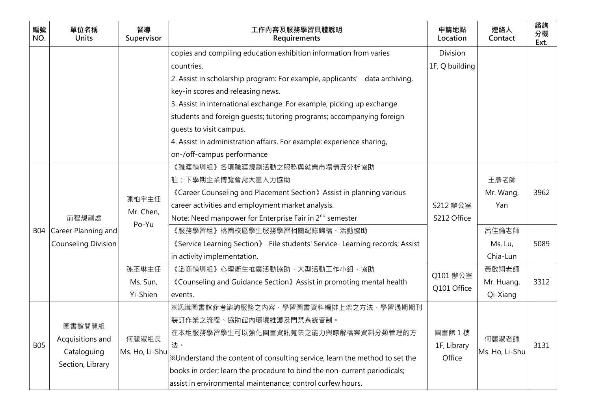| 編號<br>NO.  | 單位名稱<br><b>Units</b>       | 督導<br>Supervisor | 工作內容及服務學習具體說明<br>Requirements                                               | 申請地點<br>Location | 連絡人<br>Contact | 諮詢<br>分機<br>Ext. |
|------------|----------------------------|------------------|-----------------------------------------------------------------------------|------------------|----------------|------------------|
|            |                            |                  | copies and compiling education exhibition information from varies           | Division         |                |                  |
|            |                            |                  | countries.                                                                  | 1F, Q building   |                |                  |
|            |                            |                  | 2. Assist in scholarship program: For example, applicants' data archiving,  |                  |                |                  |
|            |                            |                  | key-in scores and releasing news.                                           |                  |                |                  |
|            |                            |                  | 3. Assist in international exchange: For example, picking up exchange       |                  |                |                  |
|            |                            |                  | students and foreign guests; tutoring programs; accompanying foreign        |                  |                |                  |
|            |                            |                  | quests to visit campus.                                                     |                  |                |                  |
|            |                            |                  | 4. Assist in administration affairs. For example: experience sharing,       |                  |                |                  |
|            |                            |                  | on-/off-campus performance                                                  |                  |                |                  |
|            |                            |                  | 《職涯輔導組》各項職涯規劃活動之服務與就業市場情況分析協助                                               |                  |                |                  |
|            |                            |                  | 註:下學期企業博覽會需大量人力協助                                                           |                  | 王彥老師           |                  |
|            |                            | 陳柏宇主任            | «Career Counseling and Placement Section» Assist in planning various        |                  | Mr. Wang,      | 3962             |
|            |                            | Mr. Chen,        | career activities and employment market analysis.                           | S212 辦公室         | Yan            |                  |
|            | 前程規劃處                      | Po-Yu            | Note: Need manpower for Enterprise Fair in 2 <sup>nd</sup> semester         | S212 Office      |                |                  |
|            | B04 Career Planning and    |                  | 《服務學習組》桃園校區學生服務學習相關紀錄歸檔、活動協助                                                |                  | 呂佳倫老師          |                  |
|            | <b>Counseling Division</b> |                  | 《Service Learning Section》 File students' Service- Learning records; Assist |                  | Ms. Lu,        | 5089             |
|            |                            |                  | in activity implementation.                                                 |                  | Chia-Lun       |                  |
|            |                            | 孫丕琳主任            | 《諮商輔導組》心理衛生推廣活動協助、大型活動工作小組、協助                                               | Q101 辦公室         | 黃啟翔老師          |                  |
|            |                            | Ms. Sun,         | «Counseling and Guidance Section» Assist in promoting mental health         | Q101 Office      | Mr. Huang,     | 3312             |
|            |                            | Yi-Shien         | events.                                                                     |                  | Qi-Xiang       |                  |
|            |                            |                  | ※認識圖書館參考諮詢服務之內容、學習圖書資料編排上架之方法、學習過期期刊                                        |                  |                |                  |
|            |                            |                  | 裝訂作業之流程、協助館內環境維護及門禁系統管制。                                                    |                  |                |                  |
|            | 圖書館閱覽組                     | 何麗淑組長            | 在本組服務學習學生可以強化圖書資訊蒐集之能力與瞭解檔案資料分類管理的方                                         | 圖書館1樓            | 何麗淑老師          |                  |
| <b>B05</b> | Acquisitions and           |                  | 法。                                                                          | 1F, Library      |                | 3131             |
|            | Cataloguing                | Ms. Ho, Li-Shu   | XUnderstand the content of consulting service; learn the method to set the  | Office           | Ms. Ho, Li-Shu |                  |
|            | Section, Library           |                  | books in order; learn the procedure to bind the non-current periodicals;    |                  |                |                  |
|            |                            |                  | assist in environmental maintenance; control curfew hours.                  |                  |                |                  |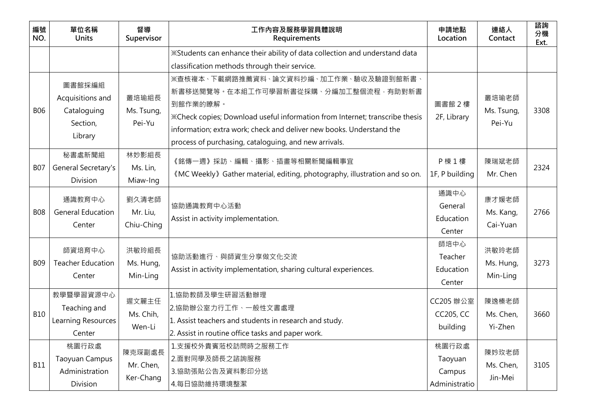| 編號<br>NO.  | 單位名稱<br><b>Units</b>                                             | 督導<br>Supervisor                 | 工作內容及服務學習具體說明<br>Requirements                                                                                                                                                                                                                                                                             | 申請地點<br>Location                            | 連絡人<br>Contact                 | 諮詢<br>分機<br>Ext. |
|------------|------------------------------------------------------------------|----------------------------------|-----------------------------------------------------------------------------------------------------------------------------------------------------------------------------------------------------------------------------------------------------------------------------------------------------------|---------------------------------------------|--------------------------------|------------------|
|            |                                                                  |                                  | *Students can enhance their ability of data collection and understand data<br>classification methods through their service.                                                                                                                                                                               |                                             |                                |                  |
| <b>B06</b> | 圖書館採編組<br>Acquisitions and<br>Cataloguing<br>Section,<br>Library | 叢培瑜組長<br>Ms. Tsung,<br>Pei-Yu    | ※查核複本、下載網路推薦資料、論文資料抄編、加工作業、驗收及驗證到館新書、<br>新書移送閱覽等。在本組工作可學習新書從採購、分編加工整個流程,有助對新書<br>到館作業的瞭解。<br>*Check copies; Download useful information from Internet; transcribe thesis<br>information; extra work; check and deliver new books. Understand the<br>process of purchasing, cataloguing, and new arrivals. | 圖書館 2樓<br>2F, Library                       | 叢培瑜老師<br>Ms. Tsung,<br>Pei-Yu  | 3308             |
| <b>B07</b> | 秘書處新聞組<br>General Secretary's<br>Division                        | 林妙影組長<br>Ms. Lin,<br>Miaw-Ing    | 《銘傳一週》採訪、編輯、攝影、插畫等相關新聞編輯事宜<br>«MC Weekly» Gather material, editing, photography, illustration and so on.                                                                                                                                                                                                  | P 棟 1 樓<br>1F, P building                   | 陳瑞斌老師<br>Mr. Chen              | 2324             |
| <b>B08</b> | 通識教育中心<br><b>General Education</b><br>Center                     | 劉久清老師<br>Mr. Liu,<br>Chiu-Ching  | 協助通識教育中心活動<br>Assist in activity implementation.                                                                                                                                                                                                                                                          | 通識中心<br>General<br>Education<br>Center      | 康才媛老師<br>Ms. Kang,<br>Cai-Yuan | 2766             |
| <b>B09</b> | 師資培育中心<br><b>Teacher Education</b><br>Center                     | 洪敏玲組長<br>Ms. Hung,<br>Min-Ling   | 協助活動進行、與師資生分享做文化交流<br>Assist in activity implementation, sharing cultural experiences.                                                                                                                                                                                                                    | 師培中心<br>Teacher<br>Education<br>Center      | 洪敏玲老師<br>Ms. Hung,<br>Min-Ling | 3273             |
| <b>B10</b> | 教學暨學習資源中心<br>Teaching and<br>Learning Resources<br>Center        | 遲文麗主任<br>Ms. Chih,<br>Wen-Li     | 1.協助教師及學生研習活動辦理<br>2.協助辦公室力行工作、一般性文書處理<br>1. Assist teachers and students in research and study.<br>2. Assist in routine office tasks and paper work.                                                                                                                                                     | CC205 辦公室<br><b>CC205, CC</b><br>building   | 陳逸榛老師<br>Ms. Chen,<br>Yi-Zhen  | 3660             |
| <b>B11</b> | 桃園行政處<br><b>Taoyuan Campus</b><br>Administration<br>Division     | 陳克琛副處長<br>Mr. Chen,<br>Ker-Chang | 1.支援校外貴賓蒞校訪問時之服務工作<br>2.面對同學及師長之諮詢服務<br>3.協助張貼公告及資料影印分送<br>4.每日協助維持環境整潔                                                                                                                                                                                                                                   | 桃園行政處<br>Taoyuan<br>Campus<br>Administratio | 陳妗玫老師<br>Ms. Chen,<br>Jin-Mei  | 3105             |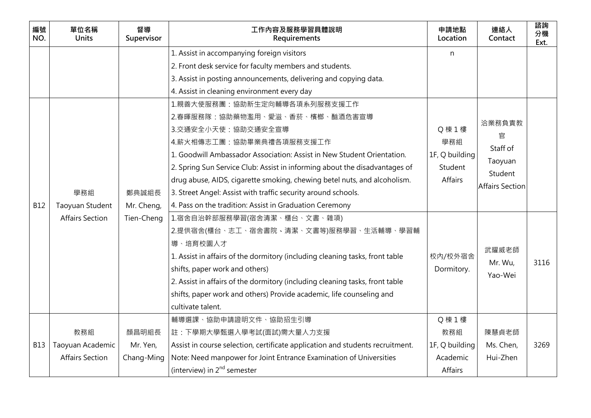| 編號<br>NO.  | 單位名稱<br><b>Units</b>   | 督導<br>Supervisor | 工作內容及服務學習具體說明<br>Requirements                                                 | 申請地點<br>Location | 連絡人<br>Contact         | 諮詢<br>分機<br>Ext. |
|------------|------------------------|------------------|-------------------------------------------------------------------------------|------------------|------------------------|------------------|
|            |                        |                  | 1. Assist in accompanying foreign visitors                                    | n                |                        |                  |
|            |                        |                  | 2. Front desk service for faculty members and students.                       |                  |                        |                  |
|            |                        |                  | 3. Assist in posting announcements, delivering and copying data.              |                  |                        |                  |
|            |                        |                  | 4. Assist in cleaning environment every day                                   |                  |                        |                  |
|            |                        |                  | 1.親善大使服務團:協助新生定向輔導各項系列服務支援工作                                                  |                  |                        |                  |
|            |                        |                  | 2.春暉服務隊:協助藥物濫用、愛滋、香菸、檳榔、酗酒危害宣導                                                |                  | 洽業務負責教                 |                  |
|            |                        |                  | 3.交通安全小天使:協助交通安全宣導                                                            | Q 棟 1 樓          | 官                      |                  |
|            |                        |                  | 4.薪火相傳志工團:協助畢業典禮各項服務支援工作                                                      | 學務組              | Staff of               |                  |
|            |                        |                  | 1. Goodwill Ambassador Association: Assist in New Student Orientation.        | 1F, Q building   |                        |                  |
|            |                        |                  | 2. Spring Sun Service Club: Assist in informing about the disadvantages of    | Student          | Taoyuan                |                  |
|            |                        |                  | drug abuse, AIDS, cigarette smoking, chewing betel nuts, and alcoholism.      | <b>Affairs</b>   | Student                |                  |
|            | 學務組                    | 鄭典誠組長            | 3. Street Angel: Assist with traffic security around schools.                 |                  | <b>Affairs Section</b> |                  |
| <b>B12</b> | Taoyuan Student        | Mr. Cheng,       | 4. Pass on the tradition: Assist in Graduation Ceremony                       |                  |                        |                  |
|            | <b>Affairs Section</b> | Tien-Cheng       | 1.宿舍自治幹部服務學習(宿舍清潔、櫃台、文書、雜項)                                                   |                  |                        |                  |
|            |                        |                  | 2.提供宿舍(櫃台、志工、宿舍書院、清潔、文書等)服務學習、生活輔導、學習輔                                        |                  |                        |                  |
|            |                        |                  | 導、培育校園人才                                                                      |                  | 武耀威老師                  |                  |
|            |                        |                  | 1. Assist in affairs of the dormitory (including cleaning tasks, front table  | 校内/校外宿舍          |                        | 3116             |
|            |                        |                  | shifts, paper work and others)                                                | Dormitory.       | Mr. Wu,                |                  |
|            |                        |                  | 2. Assist in affairs of the dormitory (including cleaning tasks, front table  |                  | Yao-Wei                |                  |
|            |                        |                  | shifts, paper work and others) Provide academic, life counseling and          |                  |                        |                  |
|            |                        |                  | cultivate talent.                                                             |                  |                        |                  |
|            |                        |                  | 輔導選課、協助申請證明文件、協助招生引導                                                          | Q 棟 1 樓          |                        |                  |
|            | 教務組                    | 顏昌明組長            | 註:下學期大學甄選入學考試(面試)需大量人力支援                                                      | 教務組              | 陳慧貞老師                  |                  |
| <b>B13</b> | Taoyuan Academic       | Mr. Yen,         | Assist in course selection, certificate application and students recruitment. | 1F, Q building   | Ms. Chen,              | 3269             |
|            | <b>Affairs Section</b> | Chang-Ming       | Note: Need manpower for Joint Entrance Examination of Universities            | Academic         | Hui-Zhen               |                  |
|            |                        |                  | (interview) in $2^{nd}$ semester                                              | Affairs          |                        |                  |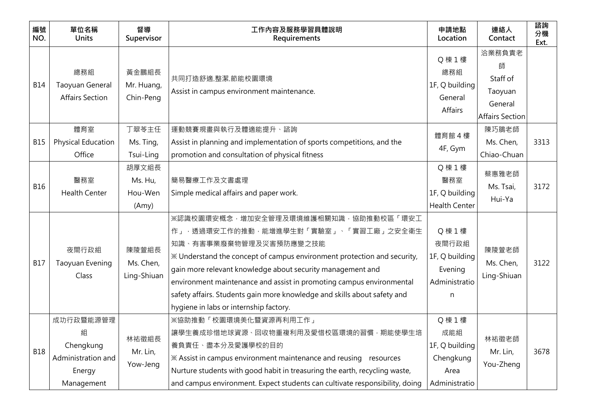| 編號<br>NO.  | 單位名稱<br><b>Units</b>                                                      | 督導<br>Supervisor                     | 工作內容及服務學習具體說明<br>Requirements                                                                                                                                                                                                                                                                                                                                                                                                                 | 申請地點<br>Location                                                       | 連絡人<br>Contact                                                   | 諮詢<br>分機<br>Ext. |
|------------|---------------------------------------------------------------------------|--------------------------------------|-----------------------------------------------------------------------------------------------------------------------------------------------------------------------------------------------------------------------------------------------------------------------------------------------------------------------------------------------------------------------------------------------------------------------------------------------|------------------------------------------------------------------------|------------------------------------------------------------------|------------------|
| <b>B14</b> | 總務組<br>Taoyuan General<br><b>Affairs Section</b>                          | 黃金鵬組長<br>Mr. Huang,<br>Chin-Peng     | 共同打造舒適.整潔.節能校園環境<br>Assist in campus environment maintenance.                                                                                                                                                                                                                                                                                                                                                                                 | Q 棟 1 樓<br>總務組<br>1F, Q building<br>General<br>Affairs                 | 洽業務負責老<br>師<br>Staff of<br>Taoyuan<br>General<br>Affairs Section |                  |
| <b>B15</b> | 體育室<br>Physical Education<br>Office                                       | 丁翠苓主任<br>Ms. Ting,<br>Tsui-Ling      | 運動競賽規畫與執行及體適能提升、諮詢<br>Assist in planning and implementation of sports competitions, and the<br>promotion and consultation of physical fitness                                                                                                                                                                                                                                                                                                 | 體育館 4樓<br>4F, Gym                                                      | 陳巧鵑老師<br>Ms. Chen,<br>Chiao-Chuan                                | 3313             |
| <b>B16</b> | 醫務室<br><b>Health Center</b>                                               | 胡厚文組長<br>Ms. Hu,<br>Hou-Wen<br>(Amy) | 簡易醫療工作及文書處理<br>Simple medical affairs and paper work.                                                                                                                                                                                                                                                                                                                                                                                         | Q 棟 1 樓<br>醫務室<br>1F, Q building<br><b>Health Center</b>               | 蔡惠雅老師<br>Ms. Tsai,<br>Hui-Ya                                     | 3172             |
| <b>B17</b> | 夜間行政組<br>Taoyuan Evening<br>Class                                         | 陳陵萱組長<br>Ms. Chen,<br>Ling-Shiuan    | ※認識校園環安概念,增加安全管理及環境維護相關知識,協助推動校區「環安工<br>作」,透過環安工作的推動,能增進學生對「實驗室」、「實習工廠」之安全衛生<br>知識、有害事業廢棄物管理及災害預防應變之技能<br>※ Understand the concept of campus environment protection and security,<br>gain more relevant knowledge about security management and<br>environment maintenance and assist in promoting campus environmental<br>safety affairs. Students gain more knowledge and skills about safety and<br>hygiene in labs or internship factory. | Q 棟 1 樓<br>夜間行政組<br>1F, Q building<br>Evening<br>Administratio<br>n    | 陳陵萱老師<br>Ms. Chen,<br>Ling-Shiuan                                | 3122             |
| <b>B18</b> | 成功行政暨能源管理<br>組<br>Chengkung<br>Administration and<br>Energy<br>Management | 林祐徵組長<br>Mr. Lin,<br>Yow-Jeng        | ※協助推動「校園環境美化暨資源再利用工作」<br>讓學生養成珍惜地球資源、回收物重複利用及愛惜校區環境的習慣,期能使學生培<br>養負責任、盡本分及愛護學校的目的<br>X Assist in campus environment maintenance and reusing resources<br>Nurture students with good habit in treasuring the earth, recycling waste,<br>and campus environment. Expect students can cultivate responsibility, doing                                                                                                                            | Q 棟 1 樓<br>成能組<br>1F, Q building<br>Chengkung<br>Area<br>Administratio | 林祐徵老師<br>Mr. Lin,<br>You-Zheng                                   | 3678             |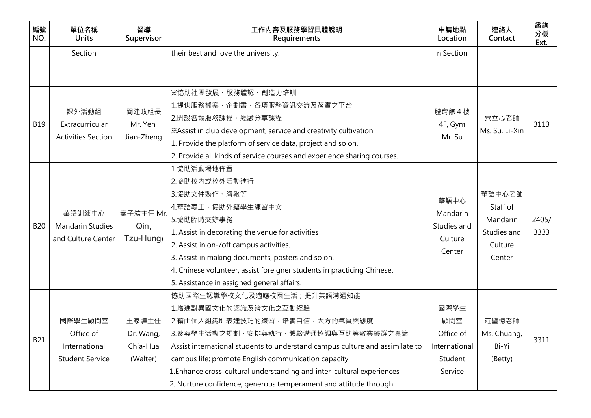| 編號<br>NO.  | 單位名稱<br><b>Units</b>                                            | 督導<br>Supervisor                           | 工作內容及服務學習具體說明<br>Requirements                                                                                                                                                                                                                                                                                                                                                                                      | 申請地點<br>Location                                                | 連絡人<br>Contact                                                     | 諮詢<br>分機<br>Ext. |
|------------|-----------------------------------------------------------------|--------------------------------------------|--------------------------------------------------------------------------------------------------------------------------------------------------------------------------------------------------------------------------------------------------------------------------------------------------------------------------------------------------------------------------------------------------------------------|-----------------------------------------------------------------|--------------------------------------------------------------------|------------------|
|            | Section                                                         |                                            | their best and love the university.                                                                                                                                                                                                                                                                                                                                                                                | n Section                                                       |                                                                    |                  |
|            |                                                                 |                                            |                                                                                                                                                                                                                                                                                                                                                                                                                    |                                                                 |                                                                    |                  |
| <b>B19</b> | 課外活動組<br>Extracurricular<br><b>Activities Section</b>           | 間建政組長<br>Mr. Yen,<br>Jian-Zheng            | ※協助社團發展、服務體認、創造力培訓<br>1.提供服務檔案、企劃書、各項服務資訊交流及落實之平台<br>2.開設各類服務課程、經驗分享課程<br>*Assist in club development, service and creativity cultivation.<br>1. Provide the platform of service data, project and so on.<br>2. Provide all kinds of service courses and experience sharing courses.                                                                                                                               | 體育館 4樓<br>4F, Gym<br>Mr. Su                                     | 粟立心老師<br>Ms. Su, Li-Xin                                            | 3113             |
| <b>B20</b> | 華語訓練中心<br><b>Mandarin Studies</b><br>and Culture Center         | 秦子紘主任 Mr.<br>Qin,<br>Tzu-Hung)             | 1.協助活動場地佈置<br>2.協助校內或校外活動進行<br>3.協助文件製作、海報等<br>4.華語義工,協助外籍學生練習中文<br>5.協助臨時交辦事務<br>1. Assist in decorating the venue for activities<br>2. Assist in on-/off campus activities.<br>3. Assist in making documents, posters and so on.<br>4. Chinese volunteer, assist foreigner students in practicing Chinese.<br>5. Assistance in assigned general affairs.                                                         | 華語中心<br>Mandarin<br>Studies and<br>Culture<br>Center            | 華語中心老師<br>Staff of<br>Mandarin<br>Studies and<br>Culture<br>Center | 2405/<br>3333    |
| <b>B21</b> | 國際學生顧問室<br>Office of<br>International<br><b>Student Service</b> | 王家驊主任<br>Dr. Wang,<br>Chia-Hua<br>(Walter) | 協助國際生認識學校文化及適應校園生活;提升英語溝通知能<br>1.增進對異國文化的認識及跨文化之互動經驗<br>2.藉由個人組織即表達技巧的練習,培養自信,大方的氣質與態度<br>3.參與學生活動之規劃、安排與執行,體驗溝通協調與互助等敬業樂群之真諦<br>Assist international students to understand campus culture and assimilate to<br>campus life; promote English communication capacity<br>1. Enhance cross-cultural understanding and inter-cultural experiences<br>2. Nurture confidence, generous temperament and attitude through | 國際學生<br>顧問室<br>Office of<br>International<br>Student<br>Service | 莊璧憶老師<br>Ms. Chuang,<br>Bi-Yi<br>(Betty)                           | 3311             |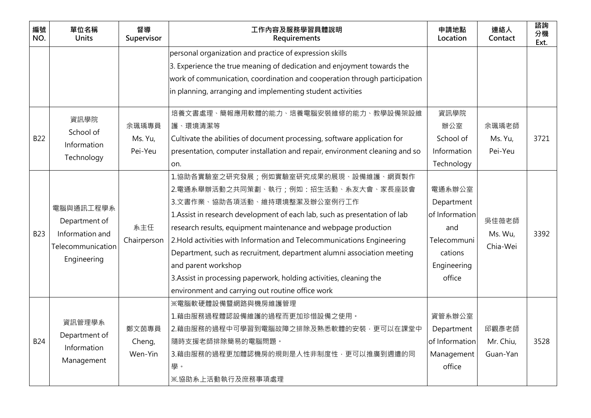| 編號<br>NO.  | 單位名稱<br><b>Units</b>                                                              | 督導<br>Supervisor            | 工作內容及服務學習具體說明<br>Requirements                                                                                                                                                                                                                                                                                                                                                                                                                                                                                                                                      | 申請地點<br>Location                                                                                 | 連絡人<br>Contact                 | 諮詢<br>分機<br>Ext. |
|------------|-----------------------------------------------------------------------------------|-----------------------------|--------------------------------------------------------------------------------------------------------------------------------------------------------------------------------------------------------------------------------------------------------------------------------------------------------------------------------------------------------------------------------------------------------------------------------------------------------------------------------------------------------------------------------------------------------------------|--------------------------------------------------------------------------------------------------|--------------------------------|------------------|
|            |                                                                                   |                             | personal organization and practice of expression skills<br>3. Experience the true meaning of dedication and enjoyment towards the<br>work of communication, coordination and cooperation through participation<br>in planning, arranging and implementing student activities                                                                                                                                                                                                                                                                                       |                                                                                                  |                                |                  |
| <b>B22</b> | 資訊學院<br>School of<br>Information<br>Technology                                    | 余珮瑀專員<br>Ms. Yu,<br>Pei-Yeu | 培養文書處理、簡報應用軟體的能力、培養電腦安裝維修的能力、教學設備架設維<br>護、環境清潔等<br>Cultivate the abilities of document processing, software application for<br>presentation, computer installation and repair, environment cleaning and so<br>on.                                                                                                                                                                                                                                                                                                                                                  | 資訊學院<br>辦公室<br>School of<br>Information<br>Technology                                            | 余珮瑀老師<br>Ms. Yu,<br>Pei-Yeu    | 3721             |
| <b>B23</b> | 電腦與通訊工程學系<br>Department of<br>Information and<br>Telecommunication<br>Engineering | 系主任<br>Chairperson          | 1.協助各實驗室之研究發展;例如實驗室研究成果的展現、設備維護、網頁製作<br>2.電通系舉辦活動之共同策劃、執行;例如:招生活動、系友大會、家長座談會<br>3.文書作業、協助各項活動、維持環境整潔及辦公室例行工作<br>1. Assist in research development of each lab, such as presentation of lab<br>research results, equipment maintenance and webpage production<br>2. Hold activities with Information and Telecommunications Engineering<br>Department, such as recruitment, department alumni association meeting<br>and parent workshop<br>3. Assist in processing paperwork, holding activities, cleaning the<br>environment and carrying out routine office work | 電通系辦公室<br>Department<br>of Information<br>and<br>Telecommuni<br>cations<br>Engineering<br>office | 吳佳薇老師<br>Ms. Wu,<br>Chia-Wei   | 3392             |
| <b>B24</b> | 資訊管理學系<br>Department of<br>Information<br>Management                              | 鄭文茵專員<br>Cheng,<br>Wen-Yin  | ※電腦軟硬體設備暨網路與機房維護管理<br>1.藉由服務過程體認設備維護的過程而更加珍惜設備之使用。<br>2.藉由服務的過程中可學習到電腦故障之排除及熟悉軟體的安裝,更可以在課堂中<br>隨時支援老師排除簡易的電腦問題。<br>3.藉由服務的過程更加體認機房的規則是人性非制度性,更可以推廣到週遭的同<br>學。<br>※.協助系上活動執行及庶務事項處理                                                                                                                                                                                                                                                                                                                                                                                 | 資管系辦公室<br>Department<br>of Information<br>Management<br>office                                   | 邱觀彥老師<br>Mr. Chiu,<br>Guan-Yan | 3528             |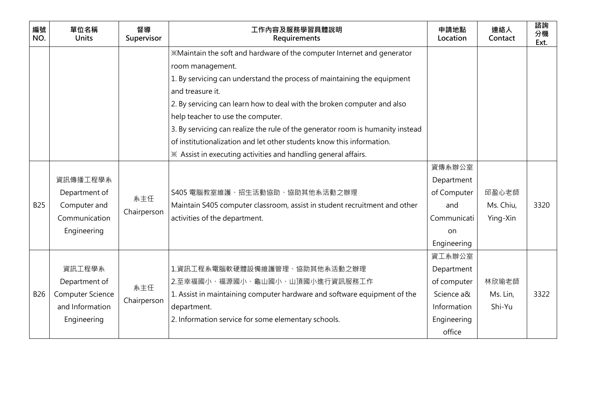| 編號<br>NO.  | 單位名稱<br><b>Units</b> | 督導<br>Supervisor | 工作內容及服務學習具體說明<br>Requirements                                                  | 申請地點<br>Location | 連絡人<br>Contact | 諮詢<br>分機<br>Ext. |
|------------|----------------------|------------------|--------------------------------------------------------------------------------|------------------|----------------|------------------|
|            |                      |                  | *Maintain the soft and hardware of the computer Internet and generator         |                  |                |                  |
|            |                      |                  | room management.                                                               |                  |                |                  |
|            |                      |                  | 1. By servicing can understand the process of maintaining the equipment        |                  |                |                  |
|            |                      |                  | and treasure it.                                                               |                  |                |                  |
|            |                      |                  | 2. By servicing can learn how to deal with the broken computer and also        |                  |                |                  |
|            |                      |                  | help teacher to use the computer.                                              |                  |                |                  |
|            |                      |                  | 3. By servicing can realize the rule of the generator room is humanity instead |                  |                |                  |
|            |                      |                  | of institutionalization and let other students know this information.          |                  |                |                  |
|            |                      |                  | ※ Assist in executing activities and handling general affairs.                 |                  |                |                  |
|            |                      |                  |                                                                                | 資傳系辦公室           |                |                  |
|            | 資訊傳播工程學系             |                  |                                                                                | Department       |                |                  |
|            | Department of        | 系主任              | S405 電腦教室維護、招生活動協助、協助其他系活動之辦理                                                  | of Computer      | 邱盈心老師          |                  |
| <b>B25</b> | Computer and         |                  | Maintain S405 computer classroom, assist in student recruitment and other      | and              | Ms. Chiu,      | 3320             |
|            | Communication        | Chairperson      | activities of the department.                                                  | Communicati      | Ying-Xin       |                  |
|            | Engineering          |                  |                                                                                | on.              |                |                  |
|            |                      |                  |                                                                                | Engineering      |                |                  |
|            |                      |                  |                                                                                | 資工系辦公室           |                |                  |
|            | 資訊工程學系               |                  | 1.資訊工程系電腦軟硬體設備維護管理、協助其他系活動之辦理                                                  | Department       |                |                  |
|            | Department of        | 系主任              | 2.至幸福國小、福源國小、龜山國小、山頂國小進行資訊服務工作                                                 | of computer      | 林欣瑜老師          |                  |
| <b>B26</b> | Computer Science     |                  | 1. Assist in maintaining computer hardware and software equipment of the       | Science a&       | Ms. Lin,       | 3322             |
|            | and Information      | Chairperson      | department.                                                                    | Information      | Shi-Yu         |                  |
|            | Engineering          |                  | 2. Information service for some elementary schools.                            | Engineering      |                |                  |
|            |                      |                  |                                                                                | office           |                |                  |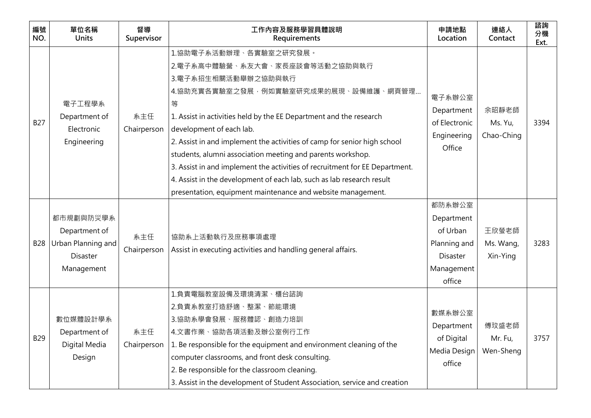| 編號<br>NO.  | 單位名稱<br><b>Units</b>                                                              | 督導<br>Supervisor   | 工作内容及服務學習具體說明<br>Requirements                                                                                                                                                                                                                                                                                                                                                                                                                                                                                                                                                                   | 申請地點<br>Location                                                                            | 連絡人<br>Contact                 | 諮詢<br>分機<br>Ext. |
|------------|-----------------------------------------------------------------------------------|--------------------|-------------------------------------------------------------------------------------------------------------------------------------------------------------------------------------------------------------------------------------------------------------------------------------------------------------------------------------------------------------------------------------------------------------------------------------------------------------------------------------------------------------------------------------------------------------------------------------------------|---------------------------------------------------------------------------------------------|--------------------------------|------------------|
| <b>B27</b> | 電子工程學系<br>Department of<br>Electronic<br>Engineering                              | 系主任<br>Chairperson | 1.協助電子系活動辦理、各實驗室之研究發展。<br>2.電子系高中體驗營、系友大會、家長座談會等活動之協助與執行<br>3.電子系招生相關活動舉辦之協助與執行<br>4.協助充實各實驗室之發展,例如實驗室研究成果的展現、設備維護、網頁管理<br>等<br>1. Assist in activities held by the EE Department and the research<br>development of each lab.<br>2. Assist in and implement the activities of camp for senior high school<br>students, alumni association meeting and parents workshop.<br>3. Assist in and implement the activities of recruitment for EE Department.<br>4. Assist in the development of each lab, such as lab research result<br>presentation, equipment maintenance and website management. | 電子系辦公室<br>Department<br>of Electronic<br>Engineering<br>Office                              | 余昭靜老師<br>Ms. Yu,<br>Chao-Ching | 3394             |
| <b>B28</b> | 都市規劃與防災學系<br>Department of<br>Urban Planning and<br><b>Disaster</b><br>Management | 系主任<br>Chairperson | 協助系上活動執行及庶務事項處理<br>Assist in executing activities and handling general affairs.                                                                                                                                                                                                                                                                                                                                                                                                                                                                                                                 | 都防系辦公室<br>Department<br>of Urban<br>Planning and<br><b>Disaster</b><br>Management<br>office | 王欣螢老師<br>Ms. Wang,<br>Xin-Ying | 3283             |
| <b>B29</b> | 數位媒體設計學系<br>Department of<br>Digital Media<br>Design                              | 系主任                | 1.負責電腦教室設備及環境清潔、櫃台諮詢<br>2.負責系教室打造舒適、整潔、節能環境<br>3.協助系學會發展、服務體認、創造力培訓<br>4.文書作業、協助各項活動及辦公室例行工作<br>Chairperson $\vert$ 1. Be responsible for the equipment and environment cleaning of the<br>computer classrooms, and front desk consulting.<br>2. Be responsible for the classroom cleaning.<br>3. Assist in the development of Student Association, service and creation                                                                                                                                                                                                                        | 數媒系辦公室<br>Department<br>of Digital<br>Media Design<br>office                                | 傅玟盛老師<br>Mr. Fu,<br>Wen-Sheng  | 3757             |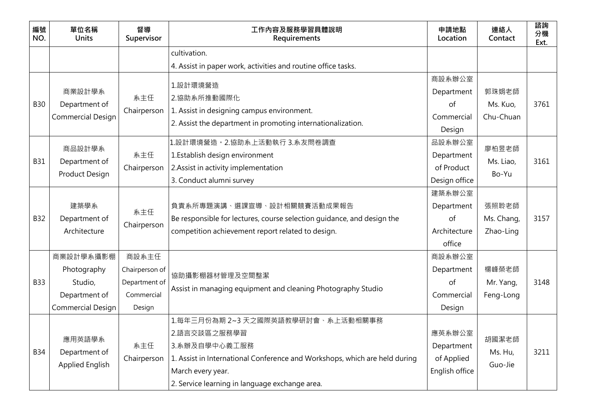| 編號<br>NO.  | 單位名稱<br><b>Units</b>          | 督導<br>Supervisor | 工作內容及服務學習具體說明<br>Requirements                                              | 申請地點<br>Location | 連絡人<br>Contact | 諮詢<br>分機<br>Ext. |
|------------|-------------------------------|------------------|----------------------------------------------------------------------------|------------------|----------------|------------------|
|            |                               |                  | cultivation.                                                               |                  |                |                  |
|            |                               |                  | 4. Assist in paper work, activities and routine office tasks.              |                  |                |                  |
|            |                               |                  | 1.設計環境營造                                                                   | 商設系辦公室           |                |                  |
|            | 商業設計學系                        | 系主任              | 2.協助系所推動國際化                                                                | Department       | 郭珠娟老師          |                  |
| <b>B30</b> | Department of                 | Chairperson      | 1. Assist in designing campus environment.                                 | of               | Ms. Kuo,       | 3761             |
|            | <b>Commercial Design</b>      |                  | 2. Assist the department in promoting internationalization.                | Commercial       | Chu-Chuan      |                  |
|            |                               |                  |                                                                            | Design           |                |                  |
|            | 商品設計學系                        |                  | 1.設計環境營造。2.協助系上活動執行 3.系友問卷調查                                               | 品設系辦公室           | 廖柏昱老師          |                  |
| <b>B31</b> | Department of                 | 系主任              | 1. Establish design environment                                            | Department       | Ms. Liao,      | 3161             |
|            | Product Design                | Chairperson      | 2. Assist in activity implementation                                       | of Product       | Bo-Yu          |                  |
|            |                               |                  | 3. Conduct alumni survey                                                   | Design office    |                |                  |
|            |                               |                  |                                                                            | 建築系辦公室           |                |                  |
|            | 建築學系                          | 系主任              | 負責系所專題演講、選課宣導、設計相關競賽活動成果報告                                                 | Department       | 張照聆老師          |                  |
| <b>B32</b> | Department of<br>Architecture | Chairperson      | Be responsible for lectures, course selection quidance, and design the     | <sub>of</sub>    | Ms. Chang,     | 3157             |
|            |                               |                  | competition achievement report related to design.                          | Architecture     | Zhao-Ling      |                  |
|            |                               |                  |                                                                            | office           |                |                  |
|            | 商業設計學系攝影棚                     | 商設系主任            |                                                                            | 商設系辦公室           |                |                  |
|            | Photography                   | Chairperson of   | 協助攝影棚器材管理及空間整潔                                                             | Department       | 楊峰榮老師          |                  |
| <b>B33</b> | Studio,                       | Department of    | Assist in managing equipment and cleaning Photography Studio               | <sub>of</sub>    | Mr. Yang,      | 3148             |
|            | Department of                 | Commercial       |                                                                            | Commercial       | Feng-Long      |                  |
|            | Commercial Design             | Design           |                                                                            | Design           |                |                  |
|            |                               |                  | 1.每年三月份為期 2~3 天之國際英語教學研討會、系上活動相關事務                                         |                  |                |                  |
|            | 應用英語學系                        |                  | 2.語言交談區之服務學習                                                               | 應英系辦公室           | 胡國潔老師          |                  |
| <b>B34</b> | Department of                 | 系主任              | 3.系辦及自學中心義工服務                                                              | Department       | Ms. Hu,        | 3211             |
|            | Applied English               | Chairperson      | 1. Assist in International Conference and Workshops, which are held during | of Applied       | Guo-Jie        |                  |
|            |                               |                  | March every year.                                                          | English office   |                |                  |
|            |                               |                  | 2. Service learning in language exchange area.                             |                  |                |                  |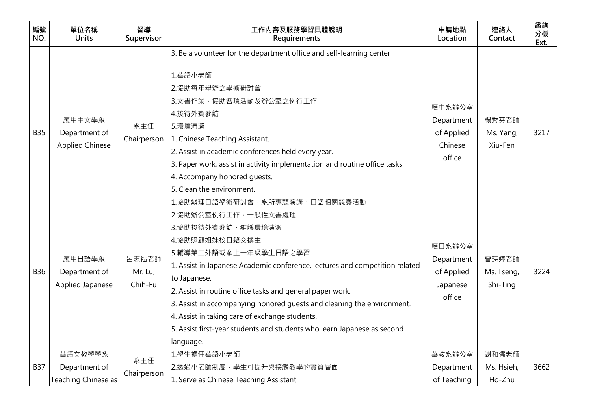| 編號<br>NO.  | 單位名稱<br><b>Units</b>                              | 督導<br>Supervisor            | 工作內容及服務學習具體說明<br>Requirements                                                                                                                                                                                                                                                                                                                                                                                                                                                                        | 申請地點<br>Location                                         | 連絡人<br>Contact                  | 諮詢<br>分機<br>Ext. |
|------------|---------------------------------------------------|-----------------------------|------------------------------------------------------------------------------------------------------------------------------------------------------------------------------------------------------------------------------------------------------------------------------------------------------------------------------------------------------------------------------------------------------------------------------------------------------------------------------------------------------|----------------------------------------------------------|---------------------------------|------------------|
|            |                                                   |                             | 3. Be a volunteer for the department office and self-learning center                                                                                                                                                                                                                                                                                                                                                                                                                                 |                                                          |                                 |                  |
| <b>B35</b> | 應用中文學系<br>Department of<br><b>Applied Chinese</b> | 系主任<br>Chairperson          | 1.華語小老師<br>2.協助每年舉辦之學術研討會<br>3.文書作業、協助各項活動及辦公室之例行工作<br>4.接待外賓參訪<br>5.環境清潔<br>1. Chinese Teaching Assistant.<br>2. Assist in academic conferences held every year.<br>3. Paper work, assist in activity implementation and routine office tasks.<br>4. Accompany honored quests.<br>5. Clean the environment.                                                                                                                                                                                         | 應中系辦公室<br>Department<br>of Applied<br>Chinese<br>office  | 楊秀芬老師<br>Ms. Yang,<br>Xiu-Fen   | 3217             |
| <b>B36</b> | 應用日語學系<br>Department of<br>Applied Japanese       | 呂志福老師<br>Mr. Lu,<br>Chih-Fu | 1.協助辦理日語學術研討會、系所專題演講、日語相關競賽活動<br>2.協助辦公室例行工作、一般性文書處理<br>3.協助接待外賓參訪、維護環境清潔<br>4.協助照顧姐妹校日籍交換生<br>5.輔導第二外語或系上一年級學生日語之學習<br>1. Assist in Japanese Academic conference, lectures and competition related<br>to Japanese.<br>2. Assist in routine office tasks and general paper work.<br>3. Assist in accompanying honored guests and cleaning the environment.<br>4. Assist in taking care of exchange students.<br>5. Assist first-year students and students who learn Japanese as second<br>language. | 應日系辦公室<br>Department<br>of Applied<br>Japanese<br>office | 曾詩婷老師<br>Ms. Tseng,<br>Shi-Ting | 3224             |
| <b>B37</b> | 華語文教學學系<br>Department of<br>Teaching Chinese as   | 系主任<br>Chairperson          | 1.學生擔任華語小老師<br>2.透過小老師制度,學生可提升與接觸教學的實質層面<br>1. Serve as Chinese Teaching Assistant.                                                                                                                                                                                                                                                                                                                                                                                                                  | 華教系辦公室<br>Department<br>of Teaching                      | 謝和儒老師<br>Ms. Hsieh,<br>Ho-Zhu   | 3662             |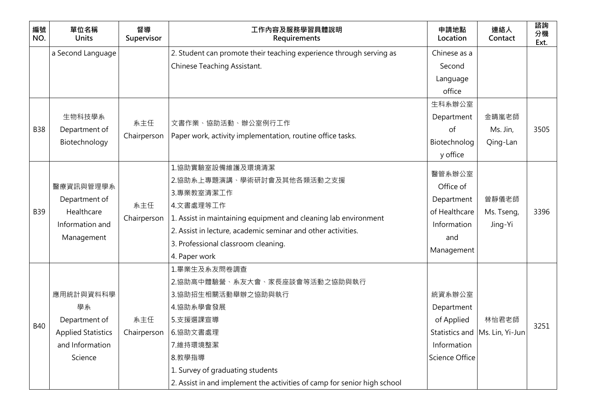| 3505                                                                                                       |
|------------------------------------------------------------------------------------------------------------|
|                                                                                                            |
|                                                                                                            |
|                                                                                                            |
|                                                                                                            |
|                                                                                                            |
| 3396                                                                                                       |
|                                                                                                            |
|                                                                                                            |
|                                                                                                            |
|                                                                                                            |
|                                                                                                            |
|                                                                                                            |
|                                                                                                            |
|                                                                                                            |
| 3251                                                                                                       |
|                                                                                                            |
|                                                                                                            |
|                                                                                                            |
|                                                                                                            |
| 金晴嵐老師<br>Ms. Jin,<br>Qing-Lan<br>曾靜儀老師<br>Ms. Tseng,<br>Jing-Yi<br>林怡君老師<br>Statistics and Ms. Lin, Yi-Jun |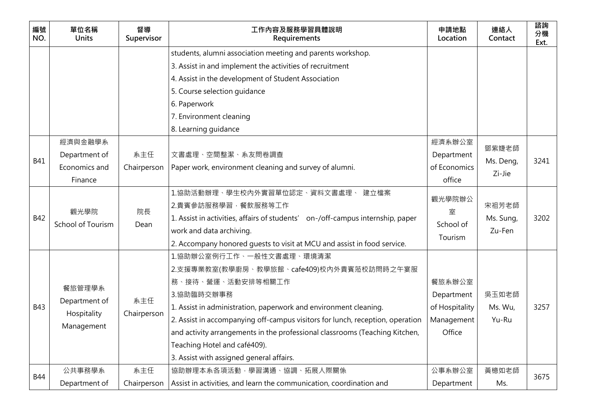| 編號<br>NO.  | 單位名稱<br><b>Units</b>                                 | 督導<br>Supervisor   | 工作內容及服務學習具體說明<br>Requirements                                                  | 申請地點<br>Location | 連絡人<br>Contact | 諮詢<br>分機<br>Ext. |
|------------|------------------------------------------------------|--------------------|--------------------------------------------------------------------------------|------------------|----------------|------------------|
|            |                                                      |                    | students, alumni association meeting and parents workshop.                     |                  |                |                  |
|            |                                                      |                    | 3. Assist in and implement the activities of recruitment                       |                  |                |                  |
|            |                                                      |                    | 4. Assist in the development of Student Association                            |                  |                |                  |
|            |                                                      |                    | 5. Course selection guidance                                                   |                  |                |                  |
|            |                                                      |                    | 6. Paperwork                                                                   |                  |                |                  |
|            |                                                      |                    | 7. Environment cleaning                                                        |                  |                |                  |
|            |                                                      |                    | 8. Learning guidance                                                           |                  |                |                  |
|            | 經濟與金融學系                                              |                    |                                                                                | 經濟系辦公室           | 鄧紫婕老師          |                  |
| <b>B41</b> | Department of                                        | 系主任                | 文書處理、空間整潔、系友問卷調查                                                               | Department       | Ms. Deng,      | 3241             |
|            | Economics and                                        | Chairperson        | Paper work, environment cleaning and survey of alumni.                         | of Economics     | Zi-Jie         |                  |
|            | Finance                                              |                    |                                                                                | office           |                |                  |
|            | 觀光學院<br>School of Tourism                            | 院長<br>Dean         | 1.協助活動辦理、學生校內外實習單位認定、資料文書處理、 建立檔案                                              | 觀光學院辦公           |                |                  |
|            |                                                      |                    | 2.貴賓參訪服務學習,餐飲服務等工作                                                             | 室                | 宋祖芳老師          |                  |
| <b>B42</b> |                                                      |                    | 1. Assist in activities, affairs of students' on-/off-campus internship, paper | School of        | Ms. Sung,      | 3202             |
|            |                                                      |                    | work and data archiving.                                                       | Tourism          | Zu-Fen         |                  |
|            |                                                      |                    | 2. Accompany honored quests to visit at MCU and assist in food service.        |                  |                |                  |
|            |                                                      |                    | 1.協助辦公室例行工作、一般性文書處理、環境清潔                                                       |                  |                |                  |
|            | 餐旅管理學系<br>Department of<br>Hospitality<br>Management | 系主任<br>Chairperson | 2.支援專業教室(教學廚房、教學旅館、cafe409)校內外貴賓蒞校訪問時之午宴服                                      |                  |                |                  |
|            |                                                      |                    | 務、接待、營運、活動安排等相關工作                                                              | 餐旅系辦公室           |                |                  |
|            |                                                      |                    | 3.協助臨時交辦事務                                                                     | Department       | 吳玉如老師          |                  |
| <b>B43</b> |                                                      |                    | 1. Assist in administration, paperwork and environment cleaning.               | of Hospitality   | Ms. Wu,        | 3257             |
|            |                                                      |                    | 2. Assist in accompanying off-campus visitors for lunch, reception, operation  | Management       | Yu-Ru          |                  |
|            |                                                      |                    | and activity arrangements in the professional classrooms (Teaching Kitchen,    | Office           |                |                  |
|            |                                                      |                    | Teaching Hotel and café409).                                                   |                  |                |                  |
|            |                                                      |                    | 3. Assist with assigned general affairs.                                       |                  |                |                  |
|            | 公共事務學系                                               | 系主任                | 協助辦理本系各項活動,學習溝通、協調、拓展人際關係                                                      | 公事系辦公室           | 黃檍如老師          | 3675             |
| <b>B44</b> | Department of                                        | Chairperson        | Assist in activities, and learn the communication, coordination and            | Department       | Ms.            |                  |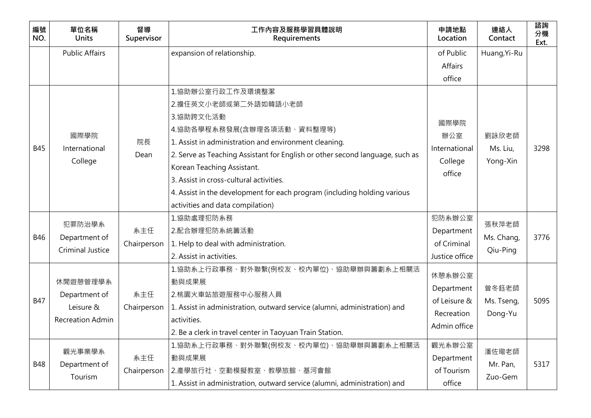| 編號<br>NO.  | 單位名稱<br><b>Units</b>             | 督導<br>Supervisor | 工作內容及服務學習具體說明<br>Requirements                                                | 申請地點<br>Location  | 連絡人<br>Contact | 諮詢<br>分機<br>Ext. |
|------------|----------------------------------|------------------|------------------------------------------------------------------------------|-------------------|----------------|------------------|
|            | <b>Public Affairs</b>            |                  | expansion of relationship.                                                   | of Public         | Huang, Yi-Ru   |                  |
|            |                                  |                  |                                                                              | <b>Affairs</b>    |                |                  |
|            |                                  |                  |                                                                              | office            |                |                  |
|            | 國際學院<br>International<br>College |                  | 1.協助辦公室行政工作及環境整潔                                                             |                   |                |                  |
|            |                                  |                  | 2.擔任英文小老師或第二外語如韓語小老師                                                         |                   |                |                  |
|            |                                  |                  | 3.協助跨文化活動                                                                    | 國際學院              |                |                  |
|            |                                  |                  | 4.協助各學程系務發展(含辦理各項活動、資料整理等)                                                   | 辦公室               | 劉詠欣老師          |                  |
| <b>B45</b> |                                  | 院長               | 1. Assist in administration and environment cleaning.                        | International     |                | 3298             |
|            |                                  | Dean             | 2. Serve as Teaching Assistant for English or other second language, such as |                   | Ms. Liu,       |                  |
|            |                                  |                  | Korean Teaching Assistant.                                                   | College<br>office | Yong-Xin       |                  |
|            |                                  |                  | 3. Assist in cross-cultural activities.                                      |                   |                |                  |
|            |                                  |                  | 4. Assist in the development for each program (including holding various     |                   |                |                  |
|            |                                  |                  | activities and data compilation)                                             |                   |                |                  |
|            | 犯罪防治學系                           |                  | 1.協助處理犯防系務                                                                   | 犯防系辦公室            | 張秋萍老師          |                  |
| <b>B46</b> | Department of                    | 系主任              | 2.配合辦理犯防系統籌活動                                                                | Department        | Ms. Chang,     | 3776             |
|            | <b>Criminal Justice</b>          | Chairperson      | 1. Help to deal with administration.                                         | of Criminal       | Qiu-Ping       |                  |
|            |                                  |                  | 2. Assist in activities.                                                     | Justice office    |                |                  |
|            |                                  |                  | 1.協助系上行政事務、對外聯繫(例校友、校內單位)、協助舉辦與籌劃系上相關活                                       | 休憩系辦公室            |                |                  |
|            | 休閒遊憩管理學系                         |                  | 動與成果展                                                                        | Department        | 曾冬鈺老師          |                  |
| <b>B47</b> | Department of                    | 系主任              | 2.桃園火車站旅遊服務中心服務人員                                                            | of Leisure &      | Ms. Tseng,     | 5095             |
|            | Leisure &                        | Chairperson      | 1. Assist in administration, outward service (alumni, administration) and    | Recreation        | Dong-Yu        |                  |
|            | <b>Recreation Admin</b>          |                  | activities.                                                                  | Admin office      |                |                  |
|            |                                  |                  | 2. Be a clerk in travel center in Taoyuan Train Station.                     |                   |                |                  |
|            | 觀光事業學系                           |                  | 1.協助系上行政事務、對外聯繫(例校友、校內單位)、協助舉辦與籌劃系上相關活                                       | 觀光系辦公室            | 潘佐璥老師          |                  |
| <b>B48</b> | Department of                    | 系主任              | 動與成果展                                                                        | Department        | Mr. Pan,       | 5317             |
|            | Tourism                          | Chairperson      | 2.產學旅行社、空勤模擬教室、教學旅館、基河會館                                                     | of Tourism        | Zuo-Gem        |                  |
|            |                                  |                  | 1. Assist in administration, outward service (alumni, administration) and    | office            |                |                  |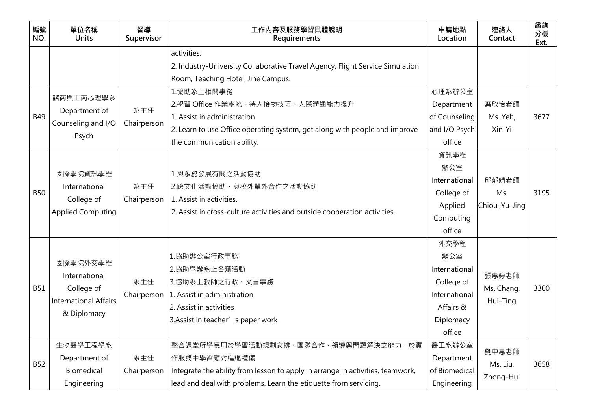| 編號<br>NO.  | 單位名稱<br><b>Units</b>                                                                   | 督導<br>Supervisor   | 工作內容及服務學習具體說明<br>Requirements                                                                                                                                                                              | 申請地點<br>Location                                                                                | 連絡人<br>Contact                  | 諮詢<br>分機<br>Ext. |
|------------|----------------------------------------------------------------------------------------|--------------------|------------------------------------------------------------------------------------------------------------------------------------------------------------------------------------------------------------|-------------------------------------------------------------------------------------------------|---------------------------------|------------------|
|            |                                                                                        |                    | activities.<br>2. Industry-University Collaborative Travel Agency, Flight Service Simulation<br>Room, Teaching Hotel, Jihe Campus.                                                                         |                                                                                                 |                                 |                  |
| <b>B49</b> | 諮商與工商心理學系<br>Department of<br>Counseling and I/O<br>Psych                              | 系主任<br>Chairperson | 1.協助系上相關事務<br>2.學習 Office 作業系統、待人接物技巧、人際溝通能力提升<br>1. Assist in administration<br>2. Learn to use Office operating system, get along with people and improve<br>the communication ability.                  | 心理系辦公室<br>Department<br>of Counseling<br>and I/O Psych<br>office                                | 葉欣怡老師<br>Ms. Yeh,<br>Xin-Yi     | 3677             |
| <b>B50</b> | 國際學院資訊學程<br>International<br>College of<br><b>Applied Computing</b>                    | 系主任<br>Chairperson | 1.與系務發展有關之活動協助<br>2.跨文化活動協助、與校外單外合作之活動協助<br>1. Assist in activities.<br>2. Assist in cross-culture activities and outside cooperation activities.                                                          | 資訊學程<br>辦公室<br>International<br>College of<br>Applied<br>Computing<br>office                    | 邱郁靖老師<br>Ms.<br>Chiou, Yu-Jing  | 3195             |
| <b>B51</b> | 國際學院外交學程<br>International<br>College of<br><b>International Affairs</b><br>& Diplomacy | 系主任<br>Chairperson | 1.協助辦公室行政事務<br>2.協助舉辦系上各類活動<br>3.協助系上教師之行政、文書事務<br>1. Assist in administration<br>2. Assist in activities<br>3. Assist in teacher' s paper work                                                            | 外交學程<br>辦公室<br>International<br>College of<br>International<br>Affairs &<br>Diplomacy<br>office | 張惠婷老師<br>Ms. Chang,<br>Hui-Ting | 3300             |
| <b>B52</b> | 生物醫學工程學系<br>Department of<br>Biomedical<br>Engineering                                 | 系主任<br>Chairperson | 整合課堂所學應用於學習活動規劃安排、團隊合作、領導與問題解決之能力,於實<br>作服務中學習應對進退禮儀<br>Integrate the ability from lesson to apply in arrange in activities, teamwork,<br>lead and deal with problems. Learn the etiquette from servicing. | 醫工系辦公室<br>Department<br>of Biomedical<br>Engineering                                            | 劉中惠老師<br>Ms. Liu,<br>Zhong-Hui  | 3658             |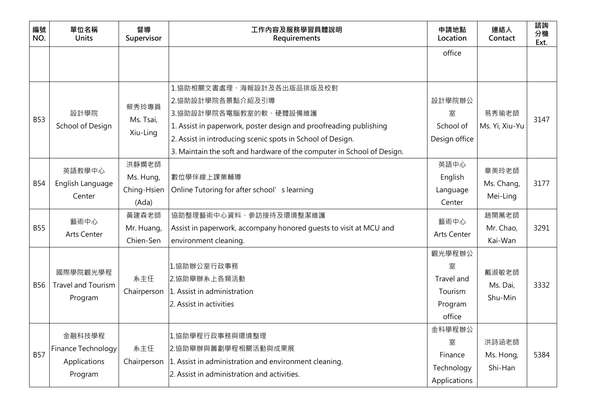| 編號<br>NO.  | 單位名稱<br><b>Units</b>                                    | 督導<br>Supervisor                           | 工作內容及服務學習具體說明<br>Requirements                                                                                                                                                                                                                                                        | 申請地點<br>Location                                          | 連絡人<br>Contact                  | 諮詢<br>分機<br>Ext. |
|------------|---------------------------------------------------------|--------------------------------------------|--------------------------------------------------------------------------------------------------------------------------------------------------------------------------------------------------------------------------------------------------------------------------------------|-----------------------------------------------------------|---------------------------------|------------------|
|            |                                                         |                                            |                                                                                                                                                                                                                                                                                      | office                                                    |                                 |                  |
| <b>B53</b> | 設計學院<br>School of Design                                | 蔡秀玲專員<br>Ms. Tsai,<br>Xiu-Ling             | 1.協助相關文書處理、海報設計及各出版品排版及校對<br>2.協助設計學院各景點介紹及引導<br>3.協助設計學院各電腦教室的軟、硬體設備維護<br>1. Assist in paperwork, poster design and proofreading publishing<br>2. Assist in introducing scenic spots in School of Design.<br>3. Maintain the soft and hardware of the computer in School of Design. | 設計學院辦公<br>室<br>School of<br>Design office                 | 易秀瑜老師<br>Ms. Yi, Xiu-Yu         | 3147             |
| <b>B54</b> | 英語教學中心<br>English Language<br>Center                    | 洪靜嫻老師<br>Ms. Hung,<br>Ching-Hsien<br>(Ada) | 數位學伴線上課業輔導<br>Online Tutoring for after school's learning                                                                                                                                                                                                                            | 英語中心<br>English<br>Language<br>Center                     | 章美玲老師<br>Ms. Chang,<br>Mei-Ling | 3177             |
| <b>B55</b> | 藝術中心<br><b>Arts Center</b>                              | 黃建森老師<br>Mr. Huang,<br>Chien-Sen           | 協助整理藝術中心資料、參訪接待及環境整潔維護<br>Assist in paperwork, accompany honored guests to visit at MCU and<br>environment cleaning.                                                                                                                                                                 | 藝術中心<br><b>Arts Center</b>                                | 趙開萬老師<br>Mr. Chao,<br>Kai-Wan   | 3291             |
| <b>B56</b> | 國際學院觀光學程<br><b>Travel and Tourism</b><br>Program        | 系主任<br>Chairperson                         | 1.協助辦公室行政事務<br>2.協助舉辦系上各類活動<br>1. Assist in administration<br>2. Assist in activities                                                                                                                                                                                                | 觀光學程辦公<br>室<br>Travel and<br>Tourism<br>Program<br>office | 戴淑敏老師<br>Ms. Dai,<br>Shu-Min    | 3332             |
| <b>B57</b> | 金融科技學程<br>Finance Technology<br>Applications<br>Program | 系主任<br>Chairperson                         | 1.協助學程行政事務與環境整理<br>2.協助舉辦與籌劃學程相關活動與成果展<br>1. Assist in administration and environment cleaning.<br>2. Assist in administration and activities.                                                                                                                                       | 金科學程辦公<br>室<br>Finance<br>Technology<br>Applications      | 洪詩涵老師<br>Ms. Hong,<br>Shi-Han   | 5384             |